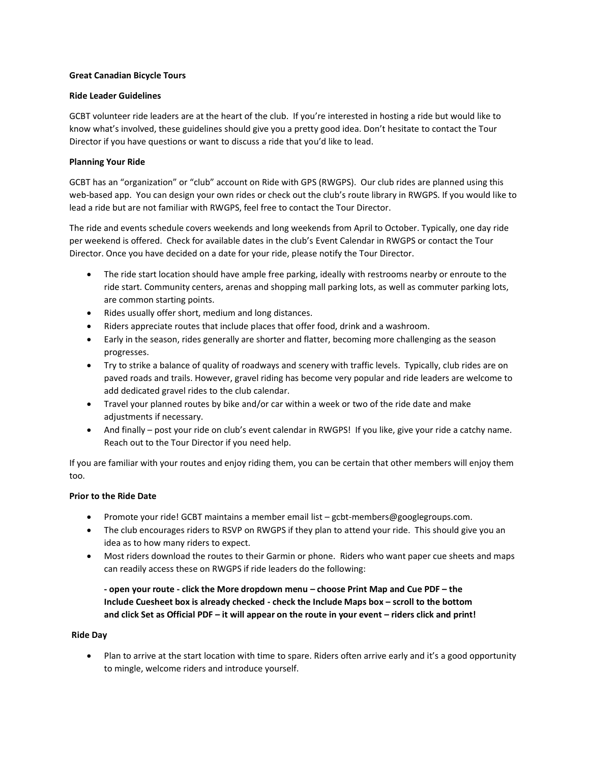### **Great Canadian Bicycle Tours**

### **Ride Leader Guidelines**

GCBT volunteer ride leaders are at the heart of the club. If you're interested in hosting a ride but would like to know what's involved, these guidelines should give you a pretty good idea. Don't hesitate to contact the Tour Director if you have questions or want to discuss a ride that you'd like to lead.

### **Planning Your Ride**

GCBT has an "organization" or "club" account on Ride with GPS (RWGPS). Our club rides are planned using this web-based app. You can design your own rides or check out the club's route library in RWGPS. If you would like to lead a ride but are not familiar with RWGPS, feel free to contact the Tour Director.

The ride and events schedule covers weekends and long weekends from April to October. Typically, one day ride per weekend is offered. Check for available dates in the club's Event Calendar in RWGPS or contact the Tour Director. Once you have decided on a date for your ride, please notify the Tour Director.

- The ride start location should have ample free parking, ideally with restrooms nearby or enroute to the ride start. Community centers, arenas and shopping mall parking lots, as well as commuter parking lots, are common starting points.
- Rides usually offer short, medium and long distances.
- Riders appreciate routes that include places that offer food, drink and a washroom.
- Early in the season, rides generally are shorter and flatter, becoming more challenging as the season progresses.
- Try to strike a balance of quality of roadways and scenery with traffic levels. Typically, club rides are on paved roads and trails. However, gravel riding has become very popular and ride leaders are welcome to add dedicated gravel rides to the club calendar.
- Travel your planned routes by bike and/or car within a week or two of the ride date and make adjustments if necessary.
- And finally post your ride on club's event calendar in RWGPS! If you like, give your ride a catchy name. Reach out to the Tour Director if you need help.

If you are familiar with your routes and enjoy riding them, you can be certain that other members will enjoy them too.

## **Prior to the Ride Date**

- Promote your ride! GCBT maintains a member email list gcbt-members@googlegroups.com.
- The club encourages riders to RSVP on RWGPS if they plan to attend your ride. This should give you an idea as to how many riders to expect.
- Most riders download the routes to their Garmin or phone. Riders who want paper cue sheets and maps can readily access these on RWGPS if ride leaders do the following:

 **- open your route - click the More dropdown menu – choose Print Map and Cue PDF – the Include Cuesheet box is already checked - check the Include Maps box – scroll to the bottom and click Set as Official PDF – it will appear on the route in your event – riders click and print!** 

#### **Ride Day**

• Plan to arrive at the start location with time to spare. Riders often arrive early and it's a good opportunity to mingle, welcome riders and introduce yourself.